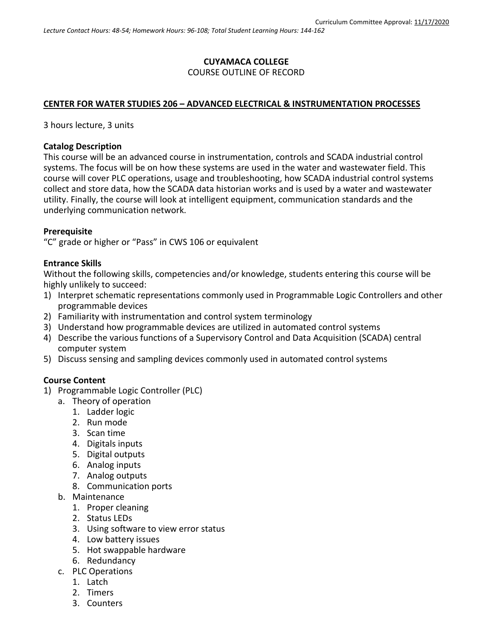# **CUYAMACA COLLEGE** COURSE OUTLINE OF RECORD

# **CENTER FOR WATER STUDIES 206 – ADVANCED ELECTRICAL & INSTRUMENTATION PROCESSES**

3 hours lecture, 3 units

#### **Catalog Description**

This course will be an advanced course in instrumentation, controls and SCADA industrial control systems. The focus will be on how these systems are used in the water and wastewater field. This course will cover PLC operations, usage and troubleshooting, how SCADA industrial control systems collect and store data, how the SCADA data historian works and is used by a water and wastewater utility. Finally, the course will look at intelligent equipment, communication standards and the underlying communication network.

### **Prerequisite**

"C" grade or higher or "Pass" in CWS 106 or equivalent

#### **Entrance Skills**

Without the following skills, competencies and/or knowledge, students entering this course will be highly unlikely to succeed:

- 1) Interpret schematic representations commonly used in Programmable Logic Controllers and other programmable devices
- 2) Familiarity with instrumentation and control system terminology
- 3) Understand how programmable devices are utilized in automated control systems
- 4) Describe the various functions of a Supervisory Control and Data Acquisition (SCADA) central computer system
- 5) Discuss sensing and sampling devices commonly used in automated control systems

### **Course Content**

- 1) Programmable Logic Controller (PLC)
	- a. Theory of operation
		- 1. Ladder logic
		- 2. Run mode
		- 3. Scan time
		- 4. Digitals inputs
		- 5. Digital outputs
		- 6. Analog inputs
		- 7. Analog outputs
		- 8. Communication ports
	- b. Maintenance
		- 1. Proper cleaning
		- 2. Status LEDs
		- 3. Using software to view error status
		- 4. Low battery issues
		- 5. Hot swappable hardware
		- 6. Redundancy
	- c. PLC Operations
		- 1. Latch
		- 2. Timers
		- 3. Counters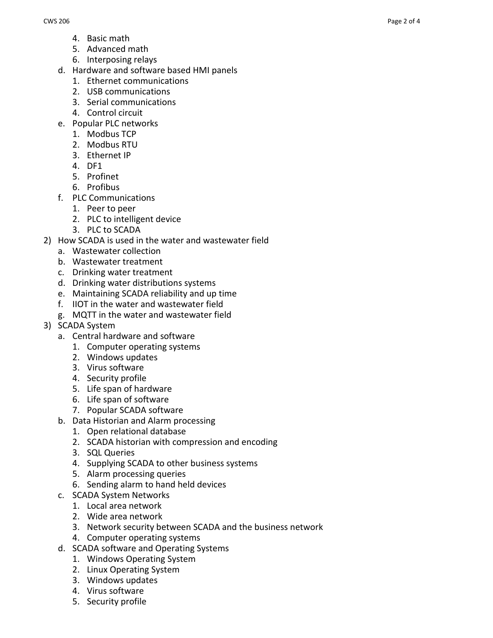- 4. Basic math
- 5. Advanced math
- 6. Interposing relays
- d. Hardware and software based HMI panels
	- 1. Ethernet communications
	- 2. USB communications
	- 3. Serial communications
	- 4. Control circuit
- e. Popular PLC networks
	- 1. Modbus TCP
	- 2. Modbus RTU
	- 3. Ethernet IP
	- 4. DF1
	- 5. Profinet
	- 6. Profibus
- f. PLC Communications
	- 1. Peer to peer
	- 2. PLC to intelligent device
	- 3. PLC to SCADA
- 2) How SCADA is used in the water and wastewater field
	- a. Wastewater collection
	- b. Wastewater treatment
	- c. Drinking water treatment
	- d. Drinking water distributions systems
	- e. Maintaining SCADA reliability and up time
	- f. IIOT in the water and wastewater field
	- g. MQTT in the water and wastewater field
- 3) SCADA System
	- a. Central hardware and software
		- 1. Computer operating systems
		- 2. Windows updates
		- 3. Virus software
		- 4. Security profile
		- 5. Life span of hardware
		- 6. Life span of software
		- 7. Popular SCADA software
	- b. Data Historian and Alarm processing
		- 1. Open relational database
		- 2. SCADA historian with compression and encoding
		- 3. SQL Queries
		- 4. Supplying SCADA to other business systems
		- 5. Alarm processing queries
		- 6. Sending alarm to hand held devices
	- c. SCADA System Networks
		- 1. Local area network
		- 2. Wide area network
		- 3. Network security between SCADA and the business network
		- 4. Computer operating systems
	- d. SCADA software and Operating Systems
		- 1. Windows Operating System
		- 2. Linux Operating System
		- 3. Windows updates
		- 4. Virus software
		- 5. Security profile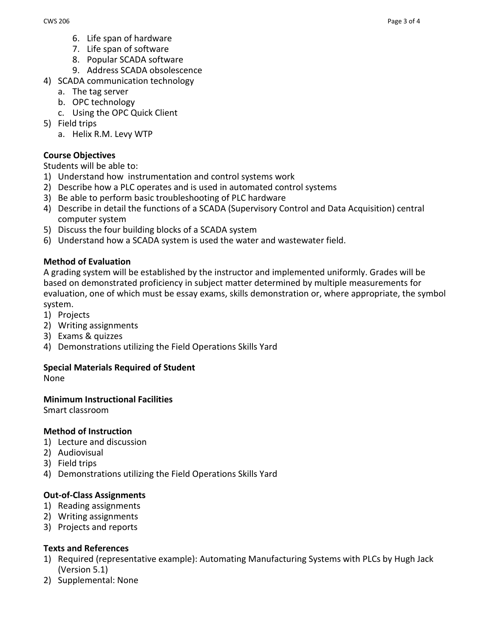- 6. Life span of hardware
- 7. Life span of software
- 8. Popular SCADA software
- 9. Address SCADA obsolescence
- 4) SCADA communication technology
	- a. The tag server
	- b. OPC technology
	- c. Using the OPC Quick Client
- 5) Field trips
	- a. Helix R.M. Levy WTP

# **Course Objectives**

Students will be able to:

- 1) Understand how instrumentation and control systems work
- 2) Describe how a PLC operates and is used in automated control systems
- 3) Be able to perform basic troubleshooting of PLC hardware
- 4) Describe in detail the functions of a SCADA (Supervisory Control and Data Acquisition) central computer system
- 5) Discuss the four building blocks of a SCADA system
- 6) Understand how a SCADA system is used the water and wastewater field.

# **Method of Evaluation**

A grading system will be established by the instructor and implemented uniformly. Grades will be based on demonstrated proficiency in subject matter determined by multiple measurements for evaluation, one of which must be essay exams, skills demonstration or, where appropriate, the symbol system.

- 1) Projects
- 2) Writing assignments
- 3) Exams & quizzes
- 4) Demonstrations utilizing the Field Operations Skills Yard

### **Special Materials Required of Student**

None

### **Minimum Instructional Facilities**

Smart classroom

### **Method of Instruction**

- 1) Lecture and discussion
- 2) Audiovisual
- 3) Field trips
- 4) Demonstrations utilizing the Field Operations Skills Yard

### **Out-of-Class Assignments**

- 1) Reading assignments
- 2) Writing assignments
- 3) Projects and reports

### **Texts and References**

- 1) Required (representative example): Automating Manufacturing Systems with PLCs by Hugh Jack (Version 5.1)
- 2) Supplemental: None